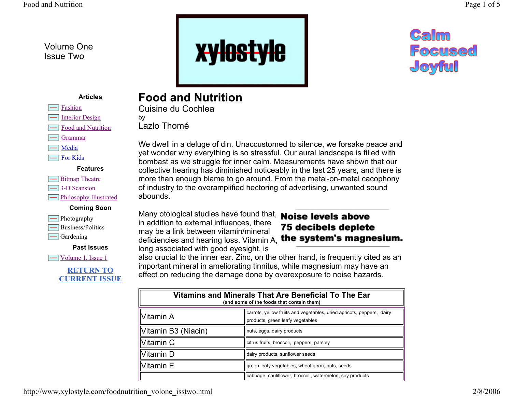Volume One Issue Two





#### **Articles**

| ноп |
|-----|
|-----|

- $\overline{\phantom{a}}$ Interior Design
- Food and Nutrition
- Grammar
- Media
- For Kids

| <b>Bitmap Theatre</b> |
|-----------------------|
| 3-D Scansion          |

## **Philosophy Illustrated**

#### **Coming Soon**

| Photography       |
|-------------------|
| Business/Politics |
| Gardening         |

**Past Issues**

Volume 1, Issue 1



## **Food and Nutrition**

Cuisine du Cochlea

by Lazlo Thomé

We dwell in a deluge of din. Unaccustomed to silence, we forsake peace and yet wonder why everything is so stressful. Our aural landscape is filled with bombast as we struggle for inner calm. Measurements have shown that our collective hearing has diminished noticeably in the last 25 years, and there is more than enough blame to go around. From the metal-on-metal cacophony of industry to the overamplified hectoring of advertising, unwanted sound abounds.

Many otological studies have found that, **Noise levels above** in addition to external influences, there may be a link between vitamin/mineral deficiencies and hearing loss. Vitamin A, the system's magnesium. long associated with good eyesight, is

# 75 decibels deplete

also crucial to the inner ear. Zinc, on the other hand, is frequently cited as an important mineral in ameliorating tinnitus, while magnesium may have an effect on reducing the damage done by overexposure to noise hazards.

| Vitamins and Minerals That Are Beneficial To The Ear<br>(and some of the foods that contain them) |                                                                                                           |  |  |
|---------------------------------------------------------------------------------------------------|-----------------------------------------------------------------------------------------------------------|--|--|
| Vitamin A                                                                                         | carrots, yellow fruits and vegetables, dried apricots, peppers, dairy<br>products, green leafy vegetables |  |  |
| Vitamin B3 (Niacin)                                                                               | Inuts, eggs, dairy products                                                                               |  |  |
| Vitamin C                                                                                         | citrus fruits, broccoli, peppers, parsley                                                                 |  |  |
| Vitamin D                                                                                         | dairy products, sunflower seeds                                                                           |  |  |
| Vitamin E                                                                                         | green leafy vegetables, wheat germ, nuts, seeds                                                           |  |  |
|                                                                                                   | cabbage, cauliflower, broccoli, watermelon, soy products                                                  |  |  |

http://www.xylostyle.com/foodnutrition\_volone\_isstwo.html 2/8/2006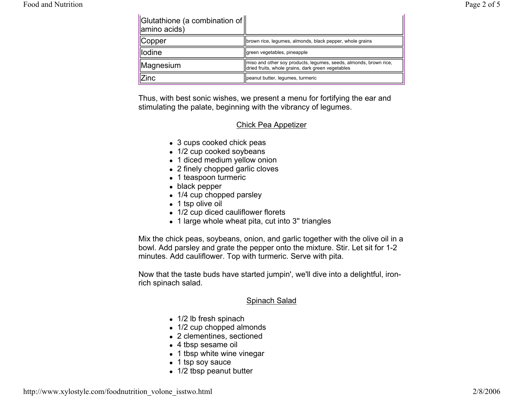Food and Nutrition

| $\parallel$ Glutathione (a combination of $\parallel$<br>amino acids) |                                                                                                                        |
|-----------------------------------------------------------------------|------------------------------------------------------------------------------------------------------------------------|
| <b>Copper</b>                                                         | brown rice, legumes, almonds, black pepper, whole grains                                                               |
| llodine                                                               | Igreen vegetables, pineapple                                                                                           |
| Magnesium                                                             | miso and other soy products, legumes, seeds, almonds, brown rice,<br>dried fruits, whole grains, dark green vegetables |
| Zinc                                                                  | peanut butter, legumes, turmeric                                                                                       |

Thus, with best sonic wishes, we present a menu for fortifying the ear and stimulating the palate, beginning with the vibrancy of legumes.

#### Chick Pea Appetizer

- 3 cups cooked chick peas
- 1/2 cup cooked soybeans
- 1 diced medium yellow onion
- $\bullet$  2 finely chopped garlic cloves
- 1 teaspoon turmeric
- $\bullet\,$  black pepper
- 1/4 cup chopped parsley
- $\bullet$  1 tsp olive oil
- 1/2 cup diced cauliflower florets
- $\bullet$  1 large whole wheat pita, cut into 3" triangles

Mix the chick peas, soybeans, onion, and garlic together with the olive oil in a bowl. Add parsley and grate the pepper onto the mixture. Stir. Let sit for 1-2 minutes. Add cauliflower. Top with turmeric. Serve with pita.

Now that the taste buds have started jumpin', we'll dive into a delightful, ironrich spinach salad.

#### Spinach Salad

- 1/2 lb fresh spinach
- 1/2 cup chopped almonds
- 2 clementines, sectioned
- $\bullet\,$  4 tbsp sesame oil
- 1 tbsp white wine vinegar
- 1 tsp soy sauce
- 1/2 tbsp peanut butter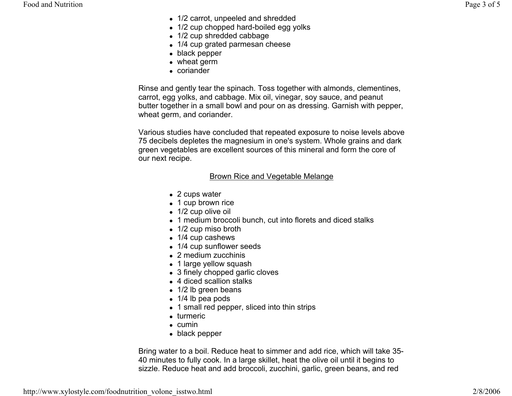- 1/2 carrot, unpeeled and shredded
- 1/2 cup chopped hard-boiled egg yolks
- $\bullet$  1/2 cup shredded cabbage
- 1/4 cup grated parmesan cheese
- $\bullet\,$  black pepper
- $\bullet\,$  wheat germ
- coriander

Rinse and gently tear the spinach. Toss together with almonds, clementines, carrot, egg yolks, and cabbage. Mix oil, vinegar, soy sauce, and peanut butter together in a small bowl and pour on as dressing. Garnish with pepper, wheat germ, and coriander.

Various studies have concluded that repeated exposure to noise levels above 75 decibels depletes the magnesium in one's system. Whole grains and dark green vegetables are excellent sources of this mineral and form the core of our next recipe.

#### Brown Rice and Vegetable Melange

- $\bullet$  2 cups water
- 1 cup brown rice
- $\bullet$  1/2 cup olive oil
- $\bullet$  1 medium broccoli bunch, cut into florets and diced stalks
- 1/2 cup miso broth
- 1/4 cup cashews
- 1/4 cup sunflower seeds
- $\bullet$  2 medium zucchinis
- 1 large yellow squash
- 3 finely chopped garlic cloves
- 4 diced scallion stalks
- 1/2 lb green beans
- $\bullet$  1/4 lb pea pods
- $\bullet$  1 small red pepper, sliced into thin strips
- turmeric
- $\bullet$  cumin
- $\bullet\,$  black pepper

Bring water to a boil. Reduce heat to simmer and add rice, which will take 35- 40 minutes to fully cook. In a large skillet, heat the olive oil until it begins to sizzle. Reduce heat and add broccoli, zucchini, garlic, green beans, and red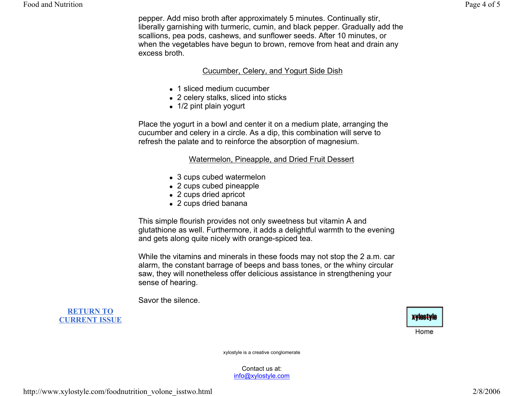pepper. Add miso broth after approximately 5 minutes. Continually stir, liberally garnishing with turmeric, cumin, and black pepper. Gradually add the scallions, pea pods, cashews, and sunflower seeds. After 10 minutes, or when the vegetables have begun to brown, remove from heat and drain any excess broth.

#### Cucumber, Celery, and Yogurt Side Dish

- 1 sliced medium cucumber
- 2 celery stalks, sliced into sticks
- 1/2 pint plain yogurt

Place the yogurt in a bowl and center it on a medium plate, arranging the cucumber and celery in a circle. As a dip, this combination will serve to refresh the palate and to reinforce the absorption of magnesium.

### Watermelon, Pineapple, and Dried Fruit Dessert

- 3 cups cubed watermelon
- 2 cups cubed pineapple
- 2 cups dried apricot
- 2 cups dried banana

This simple flourish provides not only sweetness but vitamin A and glutathione as well. Furthermore, it adds a delightful warmth to the evening and gets along quite nicely with orange-spiced tea.

While the vitamins and minerals in these foods may not stop the 2 a.m. car alarm, the constant barrage of beeps and bass tones, or the whiny circular saw, they will nonetheless offer delicious assistance in strengthening your sense of hearing.

Savor the silence.

**RETURN TOCURRENT ISSUE**

xylestyle

Home

xylostyle is a creative conglomerate

Contact us at: info@xylostyle.com